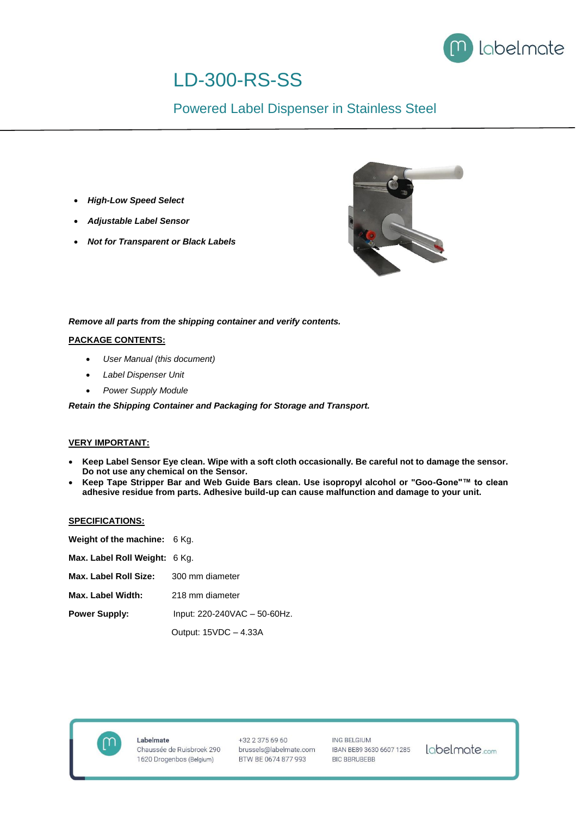

# LD-300-RS-SS

## Powered Label Dispenser in Stainless Steel

- *High-Low Speed Select*
- *Adjustable Label Sensor*
- *Not for Transparent or Black Labels*



### *Remove all parts from the shipping container and verify contents.*

#### **PACKAGE CONTENTS:**

- *User Manual (this document)*
- *Label Dispenser Unit*
- *Power Supply Module*

*Retain the Shipping Container and Packaging for Storage and Transport.*

#### **VERY IMPORTANT:**

- **Keep Label Sensor Eye clean. Wipe with a soft cloth occasionally. Be careful not to damage the sensor. Do not use any chemical on the Sensor.**
- **Keep Tape Stripper Bar and Web Guide Bars clean. Use isopropyl alcohol or "Goo-Gone"™ to clean adhesive residue from parts. Adhesive build-up can cause malfunction and damage to your unit.**

#### **SPECIFICATIONS:**

| Weight of the machine: 6 Kg.  |                              |
|-------------------------------|------------------------------|
| Max. Label Roll Weight: 6 Kg. |                              |
| Max. Label Roll Size:         | 300 mm diameter              |
| Max. Label Width:             | 218 mm diameter              |
| <b>Power Supply:</b>          | Input: 220-240VAC - 50-60Hz. |
|                               | Output: 15VDC - 4.33A        |



+32 2 375 69 60 brussels@labelmate.com BTW BE 0674 877 993

ING BELGIUM IBAN BE89 3630 6607 1285 **BIC BBRUBEBB**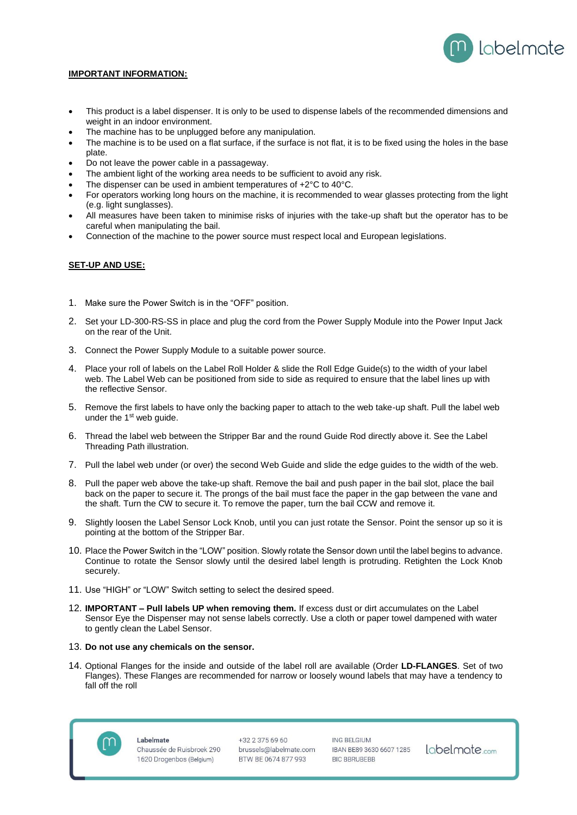

#### **IMPORTANT INFORMATION:**

- This product is a label dispenser. It is only to be used to dispense labels of the recommended dimensions and weight in an indoor environment.
- The machine has to be unplugged before any manipulation.
- The machine is to be used on a flat surface, if the surface is not flat, it is to be fixed using the holes in the base plate.
- Do not leave the power cable in a passageway.
- The ambient light of the working area needs to be sufficient to avoid any risk.
- The dispenser can be used in ambient temperatures of  $+2^{\circ}$ C to 40 $^{\circ}$ C.
- For operators working long hours on the machine, it is recommended to wear glasses protecting from the light (e.g. light sunglasses).
- All measures have been taken to minimise risks of injuries with the take-up shaft but the operator has to be careful when manipulating the bail.
- Connection of the machine to the power source must respect local and European legislations.

#### **SET-UP AND USE:**

- 1. Make sure the Power Switch is in the "OFF" position.
- 2. Set your LD-300-RS-SS in place and plug the cord from the Power Supply Module into the Power Input Jack on the rear of the Unit.
- 3. Connect the Power Supply Module to a suitable power source.
- 4. Place your roll of labels on the Label Roll Holder & slide the Roll Edge Guide(s) to the width of your label web. The Label Web can be positioned from side to side as required to ensure that the label lines up with the reflective Sensor.
- 5. Remove the first labels to have only the backing paper to attach to the web take-up shaft. Pull the label web under the  $1<sup>st</sup>$  web guide.
- 6. Thread the label web between the Stripper Bar and the round Guide Rod directly above it. See the Label Threading Path illustration.
- 7. Pull the label web under (or over) the second Web Guide and slide the edge guides to the width of the web.
- 8. Pull the paper web above the take-up shaft. Remove the bail and push paper in the bail slot, place the bail back on the paper to secure it. The prongs of the bail must face the paper in the gap between the vane and the shaft. Turn the CW to secure it. To remove the paper, turn the bail CCW and remove it.
- 9. Slightly loosen the Label Sensor Lock Knob, until you can just rotate the Sensor. Point the sensor up so it is pointing at the bottom of the Stripper Bar.
- 10. Place the Power Switch in the "LOW" position. Slowly rotate the Sensor down until the label begins to advance. Continue to rotate the Sensor slowly until the desired label length is protruding. Retighten the Lock Knob securely.
- 11. Use "HIGH" or "LOW" Switch setting to select the desired speed.
- 12. **IMPORTANT – Pull labels UP when removing them.** If excess dust or dirt accumulates on the Label Sensor Eye the Dispenser may not sense labels correctly. Use a cloth or paper towel dampened with water to gently clean the Label Sensor.

#### 13. **Do not use any chemicals on the sensor.**

14. Optional Flanges for the inside and outside of the label roll are available (Order **LD-FLANGES**. Set of two Flanges). These Flanges are recommended for narrow or loosely wound labels that may have a tendency to fall off the roll



Labelmate Chaussée de Ruisbroek 290 1620 Drogenbos (Belgium)

 $+32233756960$ brussels@labelmate.com BTW BE 0674 877 993

ING BELGIUM IBAN BE89 3630 6607 1285 **BIC BBRUBEBB**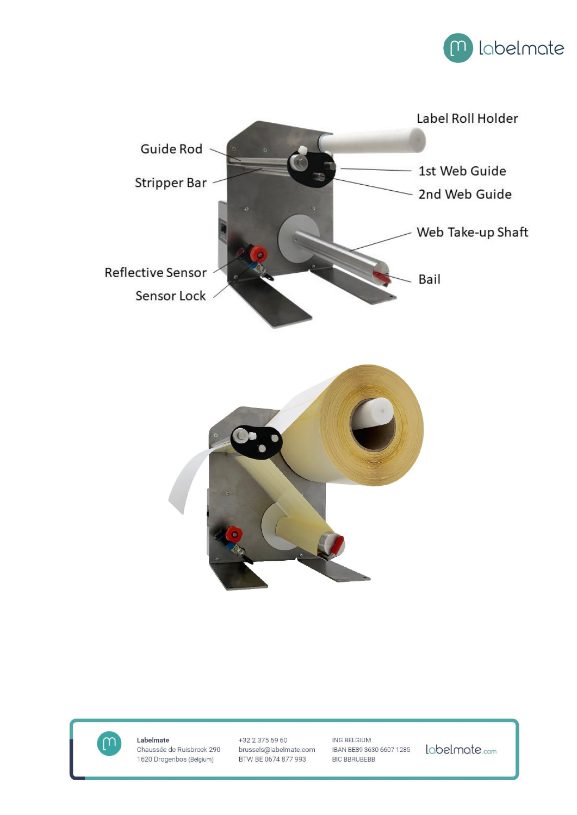







Labelmate Chaussée de Ruisbroek 290 1620 Drogenbos (Belgium)

+32 2 375 69 60 brussels@labelmate.com BTW BE 0674 877 993

ING BELGIUM IBAN BE89 3630 6607 1285 **BIC BBRUBEBB**